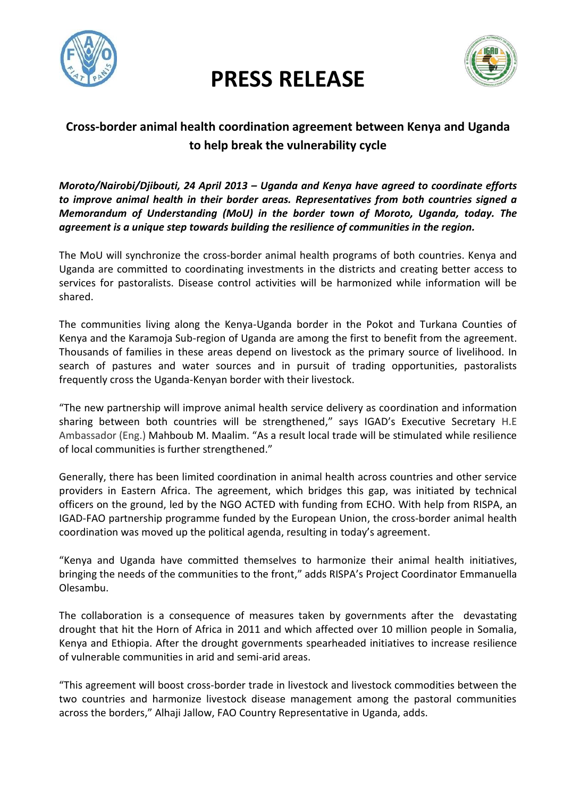

## **PRESS RELEASE**



## **Cross-border animal health coordination agreement between Kenya and Uganda to help break the vulnerability cycle**

*Moroto/Nairobi/Djibouti, 24 April 2013 – Uganda and Kenya have agreed to coordinate efforts to improve animal health in their border areas. Representatives from both countries signed a Memorandum of Understanding (MoU) in the border town of Moroto, Uganda, today. The agreement is a unique step towards building the resilience of communities in the region.*

The MoU will synchronize the cross-border animal health programs of both countries. Kenya and Uganda are committed to coordinating investments in the districts and creating better access to services for pastoralists. Disease control activities will be harmonized while information will be shared.

The communities living along the Kenya-Uganda border in the Pokot and Turkana Counties of Kenya and the Karamoja Sub-region of Uganda are among the first to benefit from the agreement. Thousands of families in these areas depend on livestock as the primary source of livelihood. In search of pastures and water sources and in pursuit of trading opportunities, pastoralists frequently cross the Uganda-Kenyan border with their livestock.

"The new partnership will improve animal health service delivery as coordination and information sharing between both countries will be strengthened," says IGAD's Executive Secretary H.E Ambassador (Eng.) Mahboub M. Maalim. "As a result local trade will be stimulated while resilience of local communities is further strengthened."

Generally, there has been limited coordination in animal health across countries and other service providers in Eastern Africa. The agreement, which bridges this gap, was initiated by technical officers on the ground, led by the NGO ACTED with funding from ECHO. With help from RISPA, an IGAD-FAO partnership programme funded by the European Union, the cross-border animal health coordination was moved up the political agenda, resulting in today's agreement.

"Kenya and Uganda have committed themselves to harmonize their animal health initiatives, bringing the needs of the communities to the front," adds RISPA's Project Coordinator Emmanuella Olesambu.

The collaboration is a consequence of measures taken by governments after the devastating drought that hit the Horn of Africa in 2011 and which affected over 10 million people in Somalia, Kenya and Ethiopia. After the drought governments spearheaded initiatives to increase resilience of vulnerable communities in arid and semi-arid areas.

"This agreement will boost cross-border trade in livestock and livestock commodities between the two countries and harmonize livestock disease management among the pastoral communities across the borders," Alhaji Jallow, FAO Country Representative in Uganda, adds.